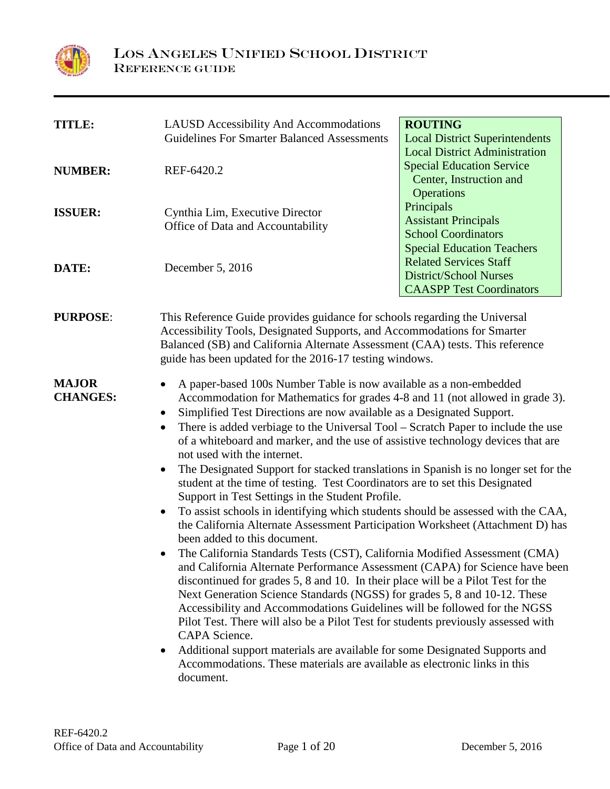

| <b>TITLE:</b>                   | <b>LAUSD</b> Accessibility And Accommodations<br><b>Guidelines For Smarter Balanced Assessments</b>                                                                                                                                                                                                                                                                                                                                                                                                                                                                                                                                                                                                                                                                                                                                                                                                                                                                                                                                                                                                                                                                                                                                                                                                                                                                                                                                                                                                                                                                          | <b>ROUTING</b><br><b>Local District Superintendents</b>                                                           |
|---------------------------------|------------------------------------------------------------------------------------------------------------------------------------------------------------------------------------------------------------------------------------------------------------------------------------------------------------------------------------------------------------------------------------------------------------------------------------------------------------------------------------------------------------------------------------------------------------------------------------------------------------------------------------------------------------------------------------------------------------------------------------------------------------------------------------------------------------------------------------------------------------------------------------------------------------------------------------------------------------------------------------------------------------------------------------------------------------------------------------------------------------------------------------------------------------------------------------------------------------------------------------------------------------------------------------------------------------------------------------------------------------------------------------------------------------------------------------------------------------------------------------------------------------------------------------------------------------------------------|-------------------------------------------------------------------------------------------------------------------|
| <b>NUMBER:</b>                  | REF-6420.2                                                                                                                                                                                                                                                                                                                                                                                                                                                                                                                                                                                                                                                                                                                                                                                                                                                                                                                                                                                                                                                                                                                                                                                                                                                                                                                                                                                                                                                                                                                                                                   | <b>Local District Administration</b><br><b>Special Education Service</b><br>Center, Instruction and<br>Operations |
| <b>ISSUER:</b>                  | Cynthia Lim, Executive Director<br>Office of Data and Accountability                                                                                                                                                                                                                                                                                                                                                                                                                                                                                                                                                                                                                                                                                                                                                                                                                                                                                                                                                                                                                                                                                                                                                                                                                                                                                                                                                                                                                                                                                                         | Principals<br><b>Assistant Principals</b><br><b>School Coordinators</b><br><b>Special Education Teachers</b>      |
| DATE:                           | December 5, 2016                                                                                                                                                                                                                                                                                                                                                                                                                                                                                                                                                                                                                                                                                                                                                                                                                                                                                                                                                                                                                                                                                                                                                                                                                                                                                                                                                                                                                                                                                                                                                             | <b>Related Services Staff</b><br><b>District/School Nurses</b><br><b>CAASPP Test Coordinators</b>                 |
| <b>PURPOSE:</b>                 | This Reference Guide provides guidance for schools regarding the Universal<br>Accessibility Tools, Designated Supports, and Accommodations for Smarter<br>Balanced (SB) and California Alternate Assessment (CAA) tests. This reference<br>guide has been updated for the 2016-17 testing windows.                                                                                                                                                                                                                                                                                                                                                                                                                                                                                                                                                                                                                                                                                                                                                                                                                                                                                                                                                                                                                                                                                                                                                                                                                                                                           |                                                                                                                   |
| <b>MAJOR</b><br><b>CHANGES:</b> | A paper-based 100s Number Table is now available as a non-embedded<br>Accommodation for Mathematics for grades 4-8 and 11 (not allowed in grade 3).<br>Simplified Test Directions are now available as a Designated Support.<br>There is added verbiage to the Universal Tool – Scratch Paper to include the use<br>$\bullet$<br>of a whiteboard and marker, and the use of assistive technology devices that are<br>not used with the internet.<br>The Designated Support for stacked translations in Spanish is no longer set for the<br>student at the time of testing. Test Coordinators are to set this Designated<br>Support in Test Settings in the Student Profile.<br>To assist schools in identifying which students should be assessed with the CAA,<br>the California Alternate Assessment Participation Worksheet (Attachment D) has<br>been added to this document.<br>The California Standards Tests (CST), California Modified Assessment (CMA)<br>and California Alternate Performance Assessment (CAPA) for Science have been<br>discontinued for grades 5, 8 and 10. In their place will be a Pilot Test for the<br>Next Generation Science Standards (NGSS) for grades 5, 8 and 10-12. These<br>Accessibility and Accommodations Guidelines will be followed for the NGSS<br>Pilot Test. There will also be a Pilot Test for students previously assessed with<br>CAPA Science.<br>Additional support materials are available for some Designated Supports and<br>Accommodations. These materials are available as electronic links in this<br>document. |                                                                                                                   |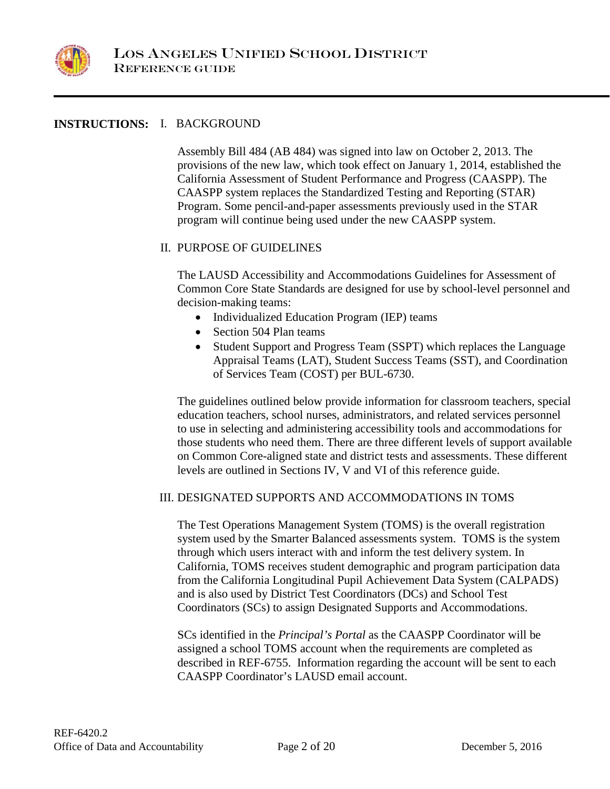

# **INSTRUCTIONS:** I. BACKGROUND

Assembly Bill 484 (AB 484) was signed into law on October 2, 2013. The provisions of the new law, which took effect on January 1, 2014, established the California Assessment of Student Performance and Progress (CAASPP). The CAASPP system replaces the Standardized Testing and Reporting (STAR) Program. Some pencil-and-paper assessments previously used in the STAR program will continue being used under the new CAASPP system.

## II. PURPOSE OF GUIDELINES

The LAUSD Accessibility and Accommodations Guidelines for Assessment of Common Core State Standards are designed for use by school-level personnel and decision-making teams:

- Individualized Education Program (IEP) teams
- Section 504 Plan teams
- Student Support and Progress Team (SSPT) which replaces the Language Appraisal Teams (LAT), Student Success Teams (SST), and Coordination of Services Team (COST) per BUL-6730.

The guidelines outlined below provide information for classroom teachers, special education teachers, school nurses, administrators, and related services personnel to use in selecting and administering accessibility tools and accommodations for those students who need them. There are three different levels of support available on Common Core-aligned state and district tests and assessments. These different levels are outlined in Sections IV, V and VI of this reference guide.

## III. DESIGNATED SUPPORTS AND ACCOMMODATIONS IN TOMS

The Test Operations Management System (TOMS) is the overall registration system used by the Smarter Balanced assessments system. TOMS is the system through which users interact with and inform the test delivery system. In California, TOMS receives student demographic and program participation data from the California Longitudinal Pupil Achievement Data System (CALPADS) and is also used by District Test Coordinators (DCs) and School Test Coordinators (SCs) to assign Designated Supports and Accommodations.

SCs identified in the *Principal's Portal* as the CAASPP Coordinator will be assigned a school TOMS account when the requirements are completed as described in REF-6755. Information regarding the account will be sent to each CAASPP Coordinator's LAUSD email account.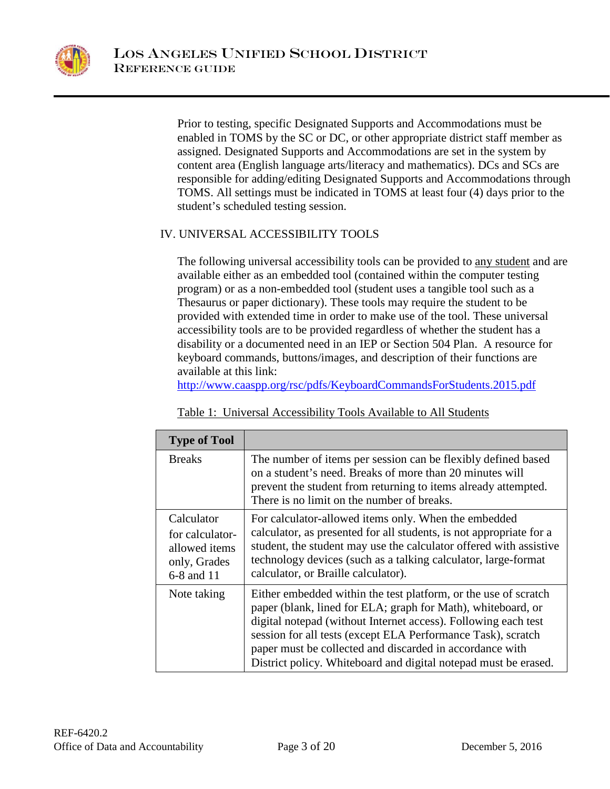

Prior to testing, specific Designated Supports and Accommodations must be enabled in TOMS by the SC or DC, or other appropriate district staff member as assigned. Designated Supports and Accommodations are set in the system by content area (English language arts/literacy and mathematics). DCs and SCs are responsible for adding/editing Designated Supports and Accommodations through TOMS. All settings must be indicated in TOMS at least four (4) days prior to the student's scheduled testing session.

# IV. UNIVERSAL ACCESSIBILITY TOOLS

The following universal accessibility tools can be provided to any student and are available either as an embedded tool (contained within the computer testing program) or as a non-embedded tool (student uses a tangible tool such as a Thesaurus or paper dictionary). These tools may require the student to be provided with extended time in order to make use of the tool. These universal accessibility tools are to be provided regardless of whether the student has a disability or a documented need in an IEP or Section 504 Plan. A resource for keyboard commands, buttons/images, and description of their functions are available at this link:

<http://www.caaspp.org/rsc/pdfs/KeyboardCommandsForStudents.2015.pdf>

|--|

| <b>Type of Tool</b>                                                          |                                                                                                                                                                                                                                                                                                                                                                                                  |
|------------------------------------------------------------------------------|--------------------------------------------------------------------------------------------------------------------------------------------------------------------------------------------------------------------------------------------------------------------------------------------------------------------------------------------------------------------------------------------------|
| <b>Breaks</b>                                                                | The number of items per session can be flexibly defined based<br>on a student's need. Breaks of more than 20 minutes will<br>prevent the student from returning to items already attempted.<br>There is no limit on the number of breaks.                                                                                                                                                        |
| Calculator<br>for calculator-<br>allowed items<br>only, Grades<br>6-8 and 11 | For calculator-allowed items only. When the embedded<br>calculator, as presented for all students, is not appropriate for a<br>student, the student may use the calculator offered with assistive<br>technology devices (such as a talking calculator, large-format<br>calculator, or Braille calculator).                                                                                       |
| Note taking                                                                  | Either embedded within the test platform, or the use of scratch<br>paper (blank, lined for ELA; graph for Math), whiteboard, or<br>digital notepad (without Internet access). Following each test<br>session for all tests (except ELA Performance Task), scratch<br>paper must be collected and discarded in accordance with<br>District policy. Whiteboard and digital notepad must be erased. |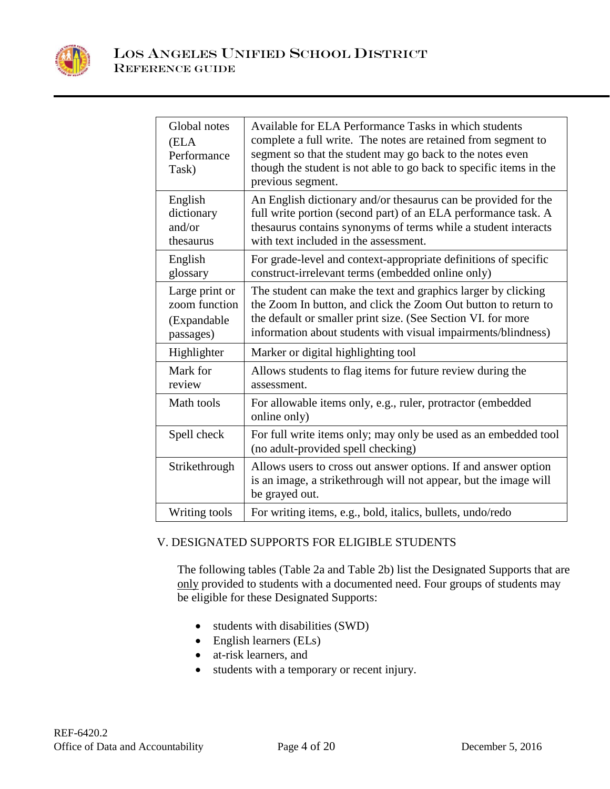

| Global notes<br>(ELA<br>Performance<br>Task)                | Available for ELA Performance Tasks in which students<br>complete a full write. The notes are retained from segment to<br>segment so that the student may go back to the notes even<br>though the student is not able to go back to specific items in the<br>previous segment. |
|-------------------------------------------------------------|--------------------------------------------------------------------------------------------------------------------------------------------------------------------------------------------------------------------------------------------------------------------------------|
| English<br>dictionary<br>and/or<br>thesaurus                | An English dictionary and/or thesaurus can be provided for the<br>full write portion (second part) of an ELA performance task. A<br>thesaurus contains synonyms of terms while a student interacts<br>with text included in the assessment.                                    |
| English<br>glossary                                         | For grade-level and context-appropriate definitions of specific<br>construct-irrelevant terms (embedded online only)                                                                                                                                                           |
| Large print or<br>zoom function<br>(Expandable<br>passages) | The student can make the text and graphics larger by clicking<br>the Zoom In button, and click the Zoom Out button to return to<br>the default or smaller print size. (See Section VI. for more<br>information about students with visual impairments/blindness)               |
| Highlighter                                                 | Marker or digital highlighting tool                                                                                                                                                                                                                                            |
| Mark for<br>review                                          | Allows students to flag items for future review during the<br>assessment.                                                                                                                                                                                                      |
| Math tools                                                  | For allowable items only, e.g., ruler, protractor (embedded<br>online only)                                                                                                                                                                                                    |
| Spell check                                                 | For full write items only; may only be used as an embedded tool<br>(no adult-provided spell checking)                                                                                                                                                                          |
| Strikethrough                                               | Allows users to cross out answer options. If and answer option<br>is an image, a strikethrough will not appear, but the image will<br>be grayed out.                                                                                                                           |
| Writing tools                                               | For writing items, e.g., bold, italics, bullets, undo/redo                                                                                                                                                                                                                     |

# V. DESIGNATED SUPPORTS FOR ELIGIBLE STUDENTS

The following tables (Table 2a and Table 2b) list the Designated Supports that are only provided to students with a documented need. Four groups of students may be eligible for these Designated Supports:

- students with disabilities (SWD)
- English learners (ELs)
- at-risk learners, and
- students with a temporary or recent injury.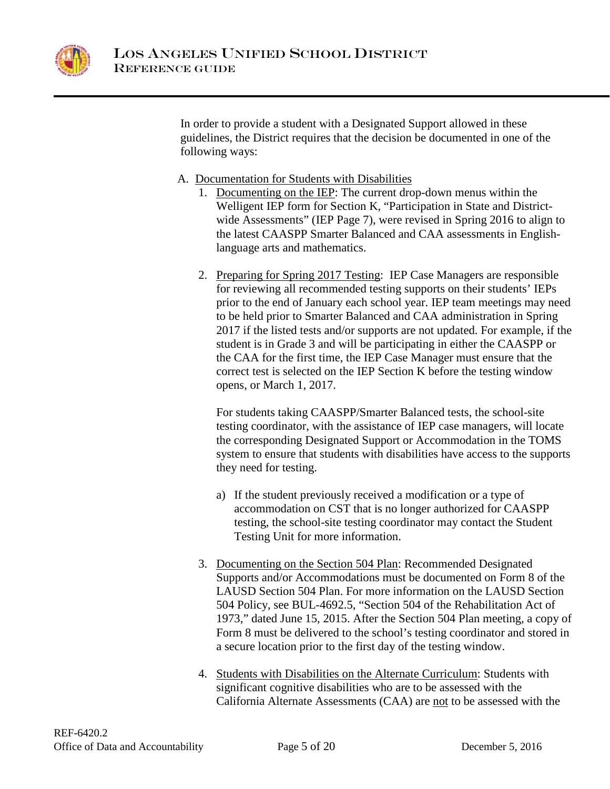

In order to provide a student with a Designated Support allowed in these guidelines, the District requires that the decision be documented in one of the following ways:

- A. Documentation for Students with Disabilities
	- 1. Documenting on the IEP: The current drop-down menus within the Welligent IEP form for Section K, "Participation in State and Districtwide Assessments" (IEP Page 7), were revised in Spring 2016 to align to the latest CAASPP Smarter Balanced and CAA assessments in Englishlanguage arts and mathematics.
	- 2. Preparing for Spring 2017 Testing: IEP Case Managers are responsible for reviewing all recommended testing supports on their students' IEPs prior to the end of January each school year. IEP team meetings may need to be held prior to Smarter Balanced and CAA administration in Spring 2017 if the listed tests and/or supports are not updated. For example, if the student is in Grade 3 and will be participating in either the CAASPP or the CAA for the first time, the IEP Case Manager must ensure that the correct test is selected on the IEP Section K before the testing window opens, or March 1, 2017.

For students taking CAASPP/Smarter Balanced tests, the school-site testing coordinator, with the assistance of IEP case managers, will locate the corresponding Designated Support or Accommodation in the TOMS system to ensure that students with disabilities have access to the supports they need for testing.

- a) If the student previously received a modification or a type of accommodation on CST that is no longer authorized for CAASPP testing, the school-site testing coordinator may contact the Student Testing Unit for more information.
- 3. Documenting on the Section 504 Plan: Recommended Designated Supports and/or Accommodations must be documented on Form 8 of the LAUSD Section 504 Plan. For more information on the LAUSD Section 504 Policy, see BUL-4692.5, "Section 504 of the Rehabilitation Act of 1973," dated June 15, 2015. After the Section 504 Plan meeting, a copy of Form 8 must be delivered to the school's testing coordinator and stored in a secure location prior to the first day of the testing window.
- 4. Students with Disabilities on the Alternate Curriculum: Students with significant cognitive disabilities who are to be assessed with the California Alternate Assessments (CAA) are not to be assessed with the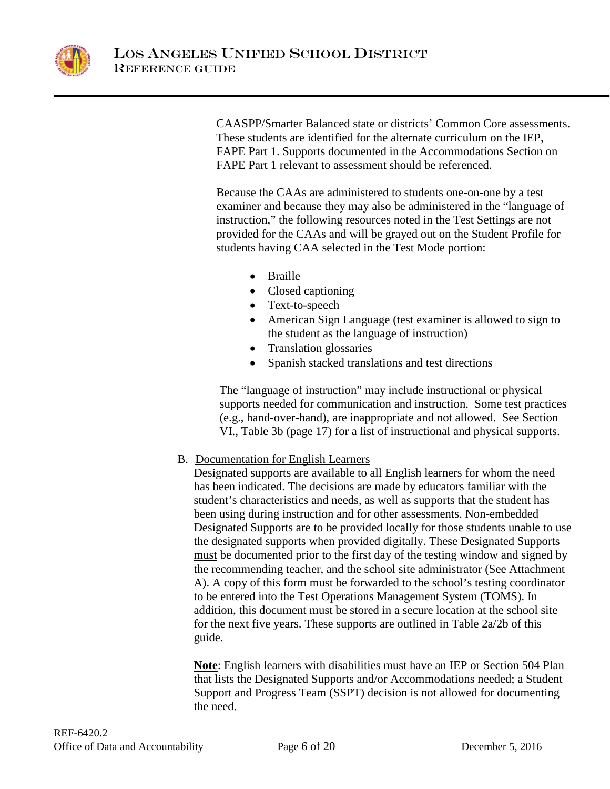

CAASPP/Smarter Balanced state or districts' Common Core assessments. These students are identified for the alternate curriculum on the IEP, FAPE Part 1. Supports documented in the Accommodations Section on FAPE Part 1 relevant to assessment should be referenced.

Because the CAAs are administered to students one-on-one by a test examiner and because they may also be administered in the "language of instruction," the following resources noted in the Test Settings are not provided for the CAAs and will be grayed out on the Student Profile for students having CAA selected in the Test Mode portion:

- Braille
- Closed captioning
- Text-to-speech
- American Sign Language (test examiner is allowed to sign to the student as the language of instruction)
- Translation glossaries
- Spanish stacked translations and test directions

The "language of instruction" may include instructional or physical supports needed for communication and instruction. Some test practices (e.g., hand-over-hand), are inappropriate and not allowed. See Section VI., Table 3b (page 17) for a list of instructional and physical supports.

# B. Documentation for English Learners

Designated supports are available to all English learners for whom the need has been indicated. The decisions are made by educators familiar with the student's characteristics and needs, as well as supports that the student has been using during instruction and for other assessments. Non-embedded Designated Supports are to be provided locally for those students unable to use the designated supports when provided digitally. These Designated Supports must be documented prior to the first day of the testing window and signed by the recommending teacher, and the school site administrator (See Attachment A). A copy of this form must be forwarded to the school's testing coordinator to be entered into the Test Operations Management System (TOMS). In addition, this document must be stored in a secure location at the school site for the next five years. These supports are outlined in Table 2a/2b of this guide.

**Note**: English learners with disabilities must have an IEP or Section 504 Plan that lists the Designated Supports and/or Accommodations needed; a Student Support and Progress Team (SSPT) decision is not allowed for documenting the need.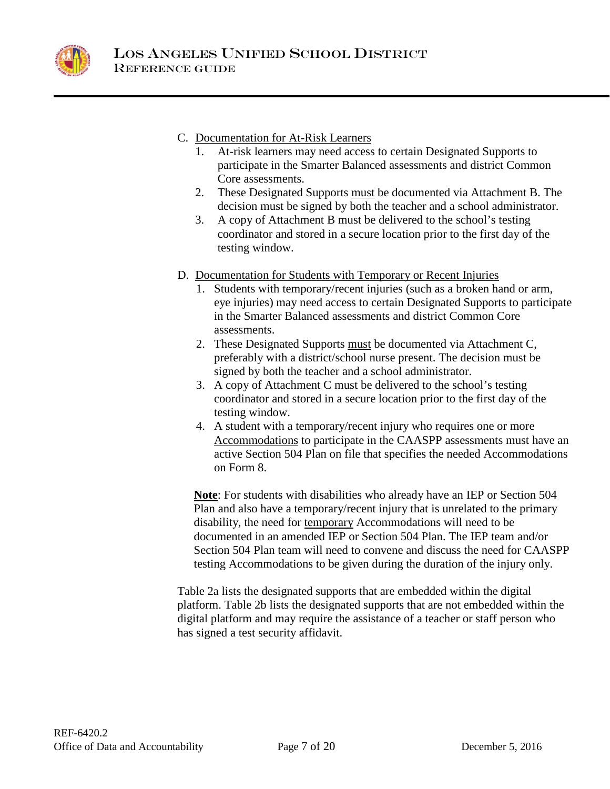

# C. Documentation for At-Risk Learners

- 1. At-risk learners may need access to certain Designated Supports to participate in the Smarter Balanced assessments and district Common Core assessments.
- 2. These Designated Supports must be documented via Attachment B. The decision must be signed by both the teacher and a school administrator.
- 3. A copy of Attachment B must be delivered to the school's testing coordinator and stored in a secure location prior to the first day of the testing window.
- D. Documentation for Students with Temporary or Recent Injuries
	- 1. Students with temporary/recent injuries (such as a broken hand or arm, eye injuries) may need access to certain Designated Supports to participate in the Smarter Balanced assessments and district Common Core assessments.
	- 2. These Designated Supports must be documented via Attachment C, preferably with a district/school nurse present. The decision must be signed by both the teacher and a school administrator.
	- 3. A copy of Attachment C must be delivered to the school's testing coordinator and stored in a secure location prior to the first day of the testing window.
	- 4. A student with a temporary/recent injury who requires one or more Accommodations to participate in the CAASPP assessments must have an active Section 504 Plan on file that specifies the needed Accommodations on Form 8.

**Note**: For students with disabilities who already have an IEP or Section 504 Plan and also have a temporary/recent injury that is unrelated to the primary disability, the need for temporary Accommodations will need to be documented in an amended IEP or Section 504 Plan. The IEP team and/or Section 504 Plan team will need to convene and discuss the need for CAASPP testing Accommodations to be given during the duration of the injury only.

Table 2a lists the designated supports that are embedded within the digital platform. Table 2b lists the designated supports that are not embedded within the digital platform and may require the assistance of a teacher or staff person who has signed a test security affidavit.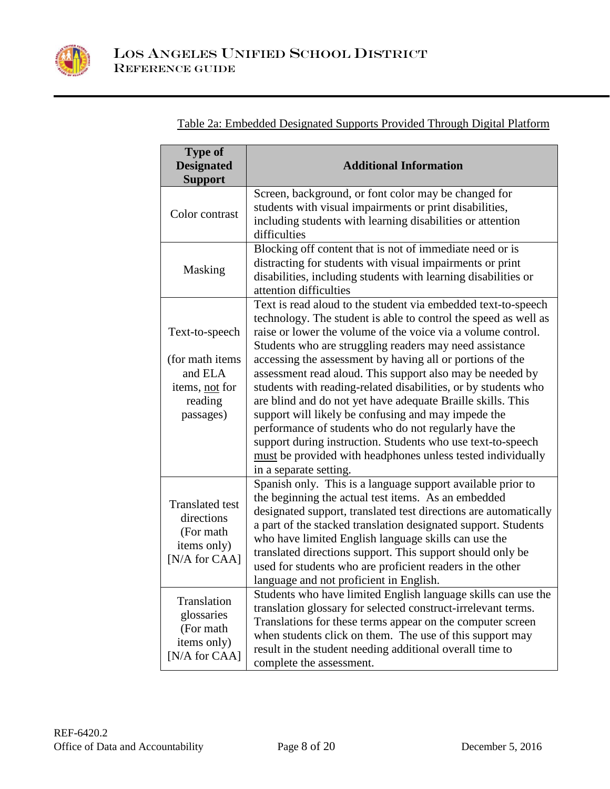

| <b>Type of</b><br><b>Designated</b><br><b>Support</b>                                   | <b>Additional Information</b>                                                                                                                                                                                                                                                                                                                                                                                                                                                                                                                                                                                                                                                                                                                                        |
|-----------------------------------------------------------------------------------------|----------------------------------------------------------------------------------------------------------------------------------------------------------------------------------------------------------------------------------------------------------------------------------------------------------------------------------------------------------------------------------------------------------------------------------------------------------------------------------------------------------------------------------------------------------------------------------------------------------------------------------------------------------------------------------------------------------------------------------------------------------------------|
| Color contrast                                                                          | Screen, background, or font color may be changed for<br>students with visual impairments or print disabilities,<br>including students with learning disabilities or attention<br>difficulties                                                                                                                                                                                                                                                                                                                                                                                                                                                                                                                                                                        |
| Masking                                                                                 | Blocking off content that is not of immediate need or is<br>distracting for students with visual impairments or print<br>disabilities, including students with learning disabilities or<br>attention difficulties                                                                                                                                                                                                                                                                                                                                                                                                                                                                                                                                                    |
| Text-to-speech<br>(for math items)<br>and ELA<br>items, not for<br>reading<br>passages) | Text is read aloud to the student via embedded text-to-speech<br>technology. The student is able to control the speed as well as<br>raise or lower the volume of the voice via a volume control.<br>Students who are struggling readers may need assistance<br>accessing the assessment by having all or portions of the<br>assessment read aloud. This support also may be needed by<br>students with reading-related disabilities, or by students who<br>are blind and do not yet have adequate Braille skills. This<br>support will likely be confusing and may impede the<br>performance of students who do not regularly have the<br>support during instruction. Students who use text-to-speech<br>must be provided with headphones unless tested individually |
| <b>Translated test</b><br>directions<br>(For math<br>items only)<br>[N/A for CAA]       | in a separate setting.<br>Spanish only. This is a language support available prior to<br>the beginning the actual test items. As an embedded<br>designated support, translated test directions are automatically<br>a part of the stacked translation designated support. Students<br>who have limited English language skills can use the<br>translated directions support. This support should only be<br>used for students who are proficient readers in the other<br>language and not proficient in English.                                                                                                                                                                                                                                                     |
| Translation<br>glossaries<br>(For math<br>items only)<br>[N/A for CAA]                  | Students who have limited English language skills can use the<br>translation glossary for selected construct-irrelevant terms.<br>Translations for these terms appear on the computer screen<br>when students click on them. The use of this support may<br>result in the student needing additional overall time to<br>complete the assessment.                                                                                                                                                                                                                                                                                                                                                                                                                     |

Table 2a: Embedded Designated Supports Provided Through Digital Platform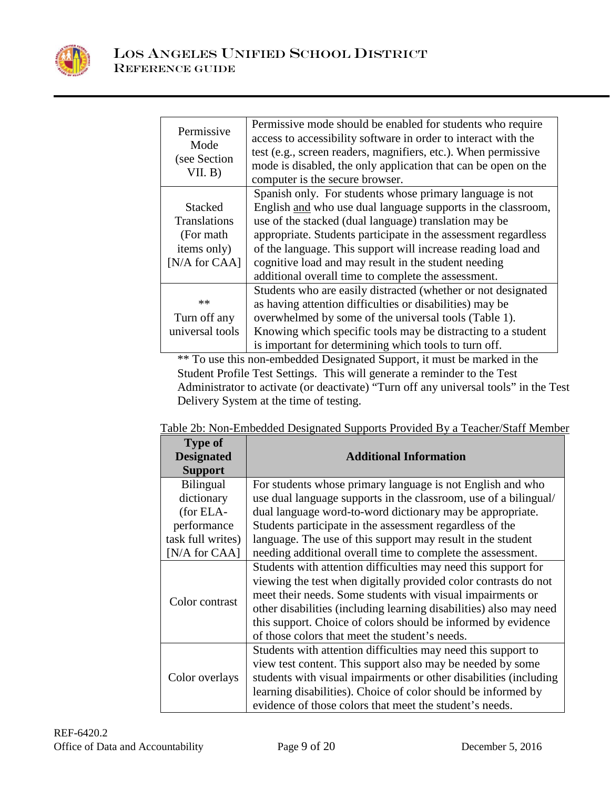

| Permissive<br>Mode<br>(see Section<br>VII. B) | Permissive mode should be enabled for students who require<br>access to accessibility software in order to interact with the<br>test (e.g., screen readers, magnifiers, etc.). When permissive<br>mode is disabled, the only application that can be open on the<br>computer is the secure browser. |
|-----------------------------------------------|-----------------------------------------------------------------------------------------------------------------------------------------------------------------------------------------------------------------------------------------------------------------------------------------------------|
|                                               | Spanish only. For students whose primary language is not                                                                                                                                                                                                                                            |
| <b>Stacked</b>                                | English and who use dual language supports in the classroom,                                                                                                                                                                                                                                        |
| <b>Translations</b>                           | use of the stacked (dual language) translation may be                                                                                                                                                                                                                                               |
| (For math)                                    | appropriate. Students participate in the assessment regardless                                                                                                                                                                                                                                      |
| items only)                                   | of the language. This support will increase reading load and                                                                                                                                                                                                                                        |
| [N/A for CAA]                                 | cognitive load and may result in the student needing                                                                                                                                                                                                                                                |
|                                               | additional overall time to complete the assessment.                                                                                                                                                                                                                                                 |
|                                               | Students who are easily distracted (whether or not designated                                                                                                                                                                                                                                       |
| $**$                                          | as having attention difficulties or disabilities) may be                                                                                                                                                                                                                                            |
| Turn off any                                  | overwhelmed by some of the universal tools (Table 1).                                                                                                                                                                                                                                               |
| universal tools                               | Knowing which specific tools may be distracting to a student                                                                                                                                                                                                                                        |
|                                               | is important for determining which tools to turn off.                                                                                                                                                                                                                                               |

\*\* To use this non-embedded Designated Support, it must be marked in the Student Profile Test Settings. This will generate a reminder to the Test Administrator to activate (or deactivate) "Turn off any universal tools" in the Test Delivery System at the time of testing.

Table 2b: Non-Embedded Designated Supports Provided By a Teacher/Staff Member

| <b>Type of</b>    |                                                                    |  |
|-------------------|--------------------------------------------------------------------|--|
| <b>Designated</b> | <b>Additional Information</b>                                      |  |
| <b>Support</b>    |                                                                    |  |
| Bilingual         | For students whose primary language is not English and who         |  |
| dictionary        | use dual language supports in the classroom, use of a bilingual/   |  |
| (for ELA-         | dual language word-to-word dictionary may be appropriate.          |  |
| performance       | Students participate in the assessment regardless of the           |  |
| task full writes) | language. The use of this support may result in the student        |  |
| [N/A for CAA]     | needing additional overall time to complete the assessment.        |  |
|                   | Students with attention difficulties may need this support for     |  |
|                   | viewing the test when digitally provided color contrasts do not    |  |
| Color contrast    | meet their needs. Some students with visual impairments or         |  |
|                   | other disabilities (including learning disabilities) also may need |  |
|                   | this support. Choice of colors should be informed by evidence      |  |
|                   | of those colors that meet the student's needs.                     |  |
|                   | Students with attention difficulties may need this support to      |  |
| Color overlays    | view test content. This support also may be needed by some         |  |
|                   | students with visual impairments or other disabilities (including  |  |
|                   | learning disabilities). Choice of color should be informed by      |  |
|                   | evidence of those colors that meet the student's needs.            |  |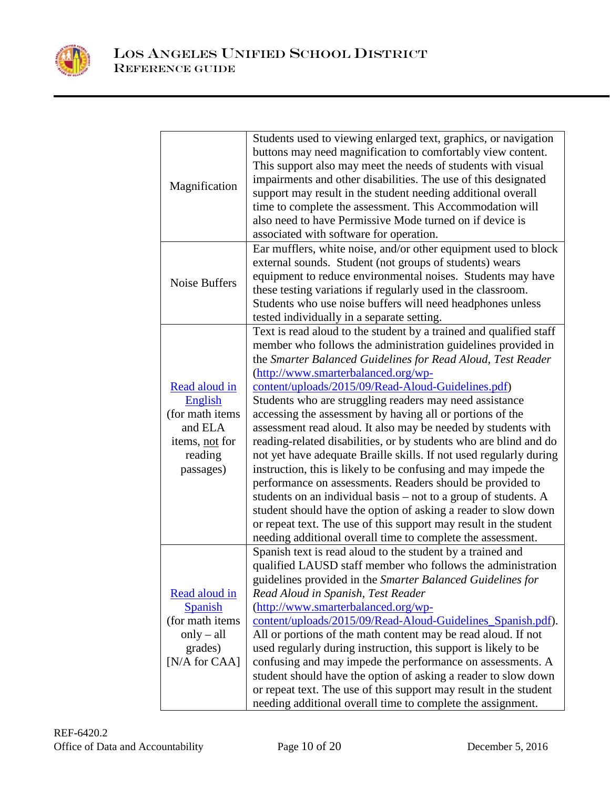

| Magnification                                                                                        | Students used to viewing enlarged text, graphics, or navigation<br>buttons may need magnification to comfortably view content.<br>This support also may meet the needs of students with visual<br>impairments and other disabilities. The use of this designated<br>support may result in the student needing additional overall<br>time to complete the assessment. This Accommodation will<br>also need to have Permissive Mode turned on if device is<br>associated with software for operation.                                                                                                                                                                                                                                                                                                                                                                                                                                                                                                                                        |
|------------------------------------------------------------------------------------------------------|--------------------------------------------------------------------------------------------------------------------------------------------------------------------------------------------------------------------------------------------------------------------------------------------------------------------------------------------------------------------------------------------------------------------------------------------------------------------------------------------------------------------------------------------------------------------------------------------------------------------------------------------------------------------------------------------------------------------------------------------------------------------------------------------------------------------------------------------------------------------------------------------------------------------------------------------------------------------------------------------------------------------------------------------|
| Noise Buffers                                                                                        | Ear mufflers, white noise, and/or other equipment used to block<br>external sounds. Student (not groups of students) wears<br>equipment to reduce environmental noises. Students may have<br>these testing variations if regularly used in the classroom.<br>Students who use noise buffers will need headphones unless<br>tested individually in a separate setting.                                                                                                                                                                                                                                                                                                                                                                                                                                                                                                                                                                                                                                                                      |
| Read aloud in<br>English<br>(for math items<br>and ELA<br>items, not for<br>reading<br>passages)     | Text is read aloud to the student by a trained and qualified staff<br>member who follows the administration guidelines provided in<br>the Smarter Balanced Guidelines for Read Aloud, Test Reader<br>(http://www.smarterbalanced.org/wp-<br>content/uploads/2015/09/Read-Aloud-Guidelines.pdf)<br>Students who are struggling readers may need assistance<br>accessing the assessment by having all or portions of the<br>assessment read aloud. It also may be needed by students with<br>reading-related disabilities, or by students who are blind and do<br>not yet have adequate Braille skills. If not used regularly during<br>instruction, this is likely to be confusing and may impede the<br>performance on assessments. Readers should be provided to<br>students on an individual basis – not to a group of students. A<br>student should have the option of asking a reader to slow down<br>or repeat text. The use of this support may result in the student<br>needing additional overall time to complete the assessment. |
| Read aloud in<br><b>Spanish</b><br>(for math items<br>$only - all$<br>grades)<br>[ $N/A$ for $CAA$ ] | Spanish text is read aloud to the student by a trained and<br>qualified LAUSD staff member who follows the administration<br>guidelines provided in the Smarter Balanced Guidelines for<br>Read Aloud in Spanish, Test Reader<br>(http://www.smarterbalanced.org/wp-<br>content/uploads/2015/09/Read-Aloud-Guidelines_Spanish.pdf).<br>All or portions of the math content may be read aloud. If not<br>used regularly during instruction, this support is likely to be<br>confusing and may impede the performance on assessments. A<br>student should have the option of asking a reader to slow down<br>or repeat text. The use of this support may result in the student<br>needing additional overall time to complete the assignment.                                                                                                                                                                                                                                                                                                |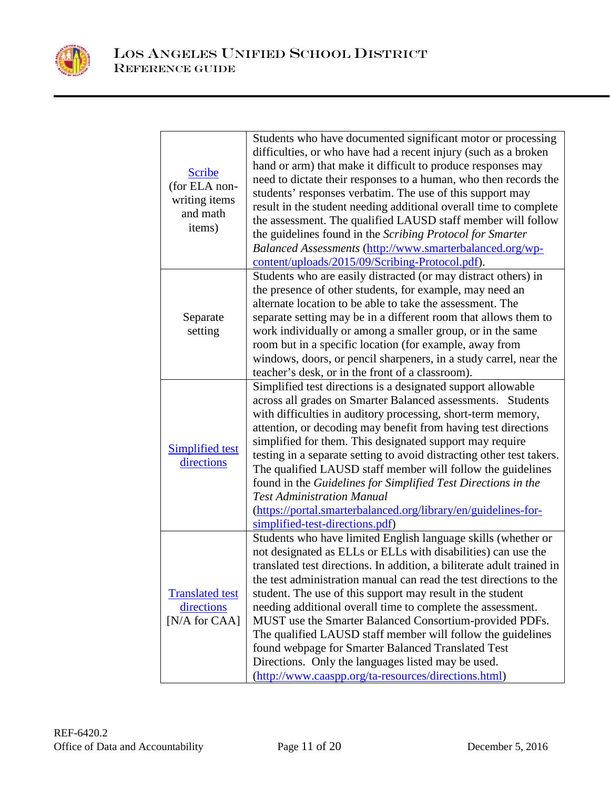

| <b>Scribe</b><br>(for ELA non-<br>writing items<br>and math<br>items) | Students who have documented significant motor or processing<br>difficulties, or who have had a recent injury (such as a broken<br>hand or arm) that make it difficult to produce responses may<br>need to dictate their responses to a human, who then records the<br>students' responses verbatim. The use of this support may<br>result in the student needing additional overall time to complete<br>the assessment. The qualified LAUSD staff member will follow<br>the guidelines found in the Scribing Protocol for Smarter<br>Balanced Assessments (http://www.smarterbalanced.org/wp-<br>content/uploads/2015/09/Scribing-Protocol.pdf).                                                         |
|-----------------------------------------------------------------------|-----------------------------------------------------------------------------------------------------------------------------------------------------------------------------------------------------------------------------------------------------------------------------------------------------------------------------------------------------------------------------------------------------------------------------------------------------------------------------------------------------------------------------------------------------------------------------------------------------------------------------------------------------------------------------------------------------------|
| Separate<br>setting                                                   | Students who are easily distracted (or may distract others) in<br>the presence of other students, for example, may need an<br>alternate location to be able to take the assessment. The<br>separate setting may be in a different room that allows them to<br>work individually or among a smaller group, or in the same<br>room but in a specific location (for example, away from<br>windows, doors, or pencil sharpeners, in a study carrel, near the<br>teacher's desk, or in the front of a classroom).                                                                                                                                                                                              |
| <b>Simplified test</b><br>directions                                  | Simplified test directions is a designated support allowable<br>across all grades on Smarter Balanced assessments. Students<br>with difficulties in auditory processing, short-term memory,<br>attention, or decoding may benefit from having test directions<br>simplified for them. This designated support may require<br>testing in a separate setting to avoid distracting other test takers.<br>The qualified LAUSD staff member will follow the guidelines<br>found in the Guidelines for Simplified Test Directions in the<br><b>Test Administration Manual</b><br>(https://portal.smarterbalanced.org/library/en/guidelines-for-<br>simplified-test-directions.pdf)                              |
| <b>Translated test</b><br>directions<br>[N/A for CAA]                 | Students who have limited English language skills (whether or<br>not designated as ELLs or ELLs with disabilities) can use the<br>translated test directions. In addition, a biliterate adult trained in<br>the test administration manual can read the test directions to the<br>student. The use of this support may result in the student<br>needing additional overall time to complete the assessment.<br>MUST use the Smarter Balanced Consortium-provided PDFs.<br>The qualified LAUSD staff member will follow the guidelines<br>found webpage for Smarter Balanced Translated Test<br>Directions. Only the languages listed may be used.<br>(http://www.caaspp.org/ta-resources/directions.html) |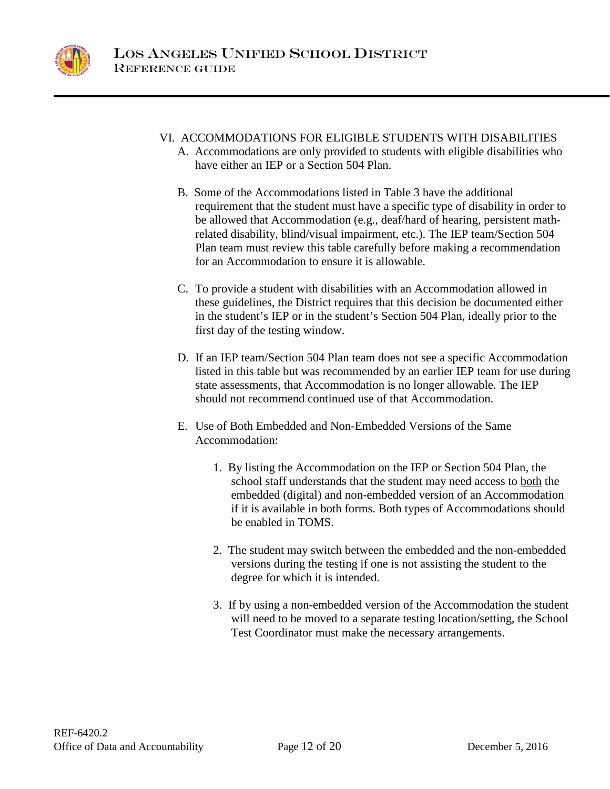

- VI. ACCOMMODATIONS FOR ELIGIBLE STUDENTS WITH DISABILITIES
	- A. Accommodations are only provided to students with eligible disabilities who have either an IEP or a Section 504 Plan.
	- B. Some of the Accommodations listed in Table 3 have the additional requirement that the student must have a specific type of disability in order to be allowed that Accommodation (e.g., deaf/hard of hearing, persistent mathrelated disability, blind/visual impairment, etc.). The IEP team/Section 504 Plan team must review this table carefully before making a recommendation for an Accommodation to ensure it is allowable.
	- C. To provide a student with disabilities with an Accommodation allowed in these guidelines, the District requires that this decision be documented either in the student's IEP or in the student's Section 504 Plan, ideally prior to the first day of the testing window.
	- D. If an IEP team/Section 504 Plan team does not see a specific Accommodation listed in this table but was recommended by an earlier IEP team for use during state assessments, that Accommodation is no longer allowable. The IEP should not recommend continued use of that Accommodation.
	- E. Use of Both Embedded and Non-Embedded Versions of the Same Accommodation:
		- 1. By listing the Accommodation on the IEP or Section 504 Plan, the school staff understands that the student may need access to both the embedded (digital) and non-embedded version of an Accommodation if it is available in both forms. Both types of Accommodations should be enabled in TOMS.
		- 2. The student may switch between the embedded and the non-embedded versions during the testing if one is not assisting the student to the degree for which it is intended.
		- 3. If by using a non-embedded version of the Accommodation the student will need to be moved to a separate testing location/setting, the School Test Coordinator must make the necessary arrangements.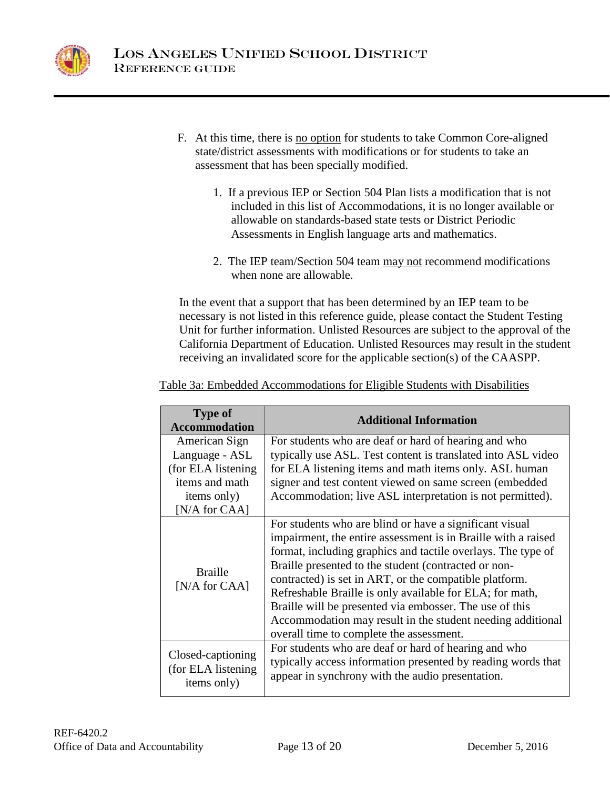

- F. At this time, there is no option for students to take Common Core-aligned state/district assessments with modifications or for students to take an assessment that has been specially modified.
	- 1. If a previous IEP or Section 504 Plan lists a modification that is not included in this list of Accommodations, it is no longer available or allowable on standards-based state tests or District Periodic Assessments in English language arts and mathematics.
	- 2. The IEP team/Section 504 team may not recommend modifications when none are allowable.

In the event that a support that has been determined by an IEP team to be necessary is not listed in this reference guide, please contact the Student Testing Unit for further information. Unlisted Resources are subject to the approval of the California Department of Education. Unlisted Resources may result in the student receiving an invalidated score for the applicable section(s) of the CAASPP.

| <b>Type of</b><br><b>Accommodation</b>                  | <b>Additional Information</b>                                                                                                                                                                                                                                                                                                                                                                                                                                                                                                               |
|---------------------------------------------------------|---------------------------------------------------------------------------------------------------------------------------------------------------------------------------------------------------------------------------------------------------------------------------------------------------------------------------------------------------------------------------------------------------------------------------------------------------------------------------------------------------------------------------------------------|
| American Sign                                           | For students who are deaf or hard of hearing and who                                                                                                                                                                                                                                                                                                                                                                                                                                                                                        |
| Language - ASL                                          | typically use ASL. Test content is translated into ASL video                                                                                                                                                                                                                                                                                                                                                                                                                                                                                |
| (for ELA listening)                                     | for ELA listening items and math items only. ASL human                                                                                                                                                                                                                                                                                                                                                                                                                                                                                      |
| items and math                                          | signer and test content viewed on same screen (embedded                                                                                                                                                                                                                                                                                                                                                                                                                                                                                     |
| items only)                                             | Accommodation; live ASL interpretation is not permitted).                                                                                                                                                                                                                                                                                                                                                                                                                                                                                   |
| [ $N/A$ for $CAA$ ]                                     |                                                                                                                                                                                                                                                                                                                                                                                                                                                                                                                                             |
| <b>Braille</b><br>[ $N/A$ for $CAA$ ]                   | For students who are blind or have a significant visual<br>impairment, the entire assessment is in Braille with a raised<br>format, including graphics and tactile overlays. The type of<br>Braille presented to the student (contracted or non-<br>contracted) is set in ART, or the compatible platform.<br>Refreshable Braille is only available for ELA; for math,<br>Braille will be presented via embosser. The use of this<br>Accommodation may result in the student needing additional<br>overall time to complete the assessment. |
| Closed-captioning<br>(for ELA listening)<br>items only) | For students who are deaf or hard of hearing and who<br>typically access information presented by reading words that<br>appear in synchrony with the audio presentation.                                                                                                                                                                                                                                                                                                                                                                    |

Table 3a: Embedded Accommodations for Eligible Students with Disabilities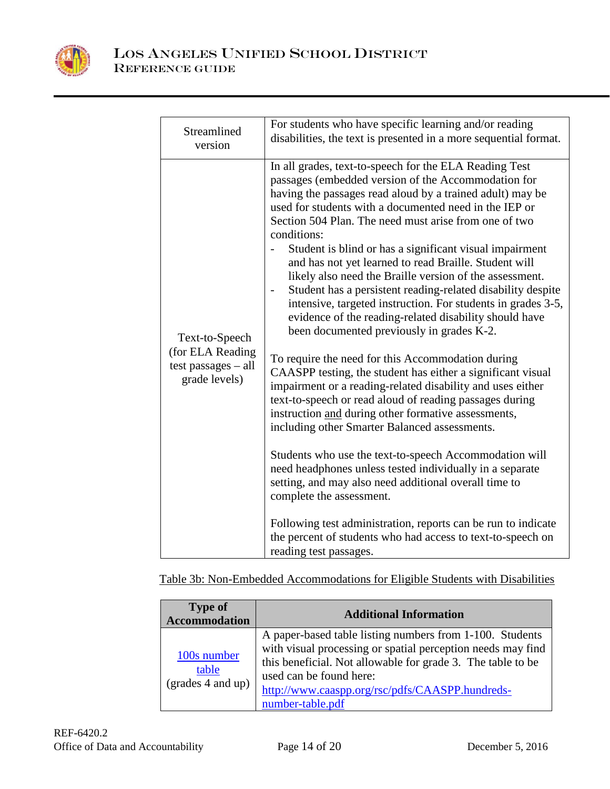

| Streamlined                                                                  | For students who have specific learning and/or reading                                                                                                                                                                                                                                                                                                                                                                                                                                                                                                                                                                                                                                                                                                                                                                                                                                                                                                                                                                                                                                                                                                                                                                                                                                                                                                                                                                                                      |
|------------------------------------------------------------------------------|-------------------------------------------------------------------------------------------------------------------------------------------------------------------------------------------------------------------------------------------------------------------------------------------------------------------------------------------------------------------------------------------------------------------------------------------------------------------------------------------------------------------------------------------------------------------------------------------------------------------------------------------------------------------------------------------------------------------------------------------------------------------------------------------------------------------------------------------------------------------------------------------------------------------------------------------------------------------------------------------------------------------------------------------------------------------------------------------------------------------------------------------------------------------------------------------------------------------------------------------------------------------------------------------------------------------------------------------------------------------------------------------------------------------------------------------------------------|
| version                                                                      | disabilities, the text is presented in a more sequential format.                                                                                                                                                                                                                                                                                                                                                                                                                                                                                                                                                                                                                                                                                                                                                                                                                                                                                                                                                                                                                                                                                                                                                                                                                                                                                                                                                                                            |
| Text-to-Speech<br>(for ELA Reading<br>test passages $-$ all<br>grade levels) | In all grades, text-to-speech for the ELA Reading Test<br>passages (embedded version of the Accommodation for<br>having the passages read aloud by a trained adult) may be<br>used for students with a documented need in the IEP or<br>Section 504 Plan. The need must arise from one of two<br>conditions:<br>Student is blind or has a significant visual impairment<br>and has not yet learned to read Braille. Student will<br>likely also need the Braille version of the assessment.<br>Student has a persistent reading-related disability despite<br>intensive, targeted instruction. For students in grades 3-5,<br>evidence of the reading-related disability should have<br>been documented previously in grades K-2.<br>To require the need for this Accommodation during<br>CAASPP testing, the student has either a significant visual<br>impairment or a reading-related disability and uses either<br>text-to-speech or read aloud of reading passages during<br>instruction and during other formative assessments,<br>including other Smarter Balanced assessments.<br>Students who use the text-to-speech Accommodation will<br>need headphones unless tested individually in a separate<br>setting, and may also need additional overall time to<br>complete the assessment.<br>Following test administration, reports can be run to indicate<br>the percent of students who had access to text-to-speech on<br>reading test passages. |

Table 3b: Non-Embedded Accommodations for Eligible Students with Disabilities

| <b>Type of</b><br><b>Accommodation</b>    | <b>Additional Information</b>                                                                                                                                                                                                                                                            |
|-------------------------------------------|------------------------------------------------------------------------------------------------------------------------------------------------------------------------------------------------------------------------------------------------------------------------------------------|
| 100s number<br>table<br>(grades 4 and up) | A paper-based table listing numbers from 1-100. Students<br>with visual processing or spatial perception needs may find<br>this beneficial. Not allowable for grade 3. The table to be<br>used can be found here:<br>http://www.caaspp.org/rsc/pdfs/CAASPP.hundreds-<br>number-table.pdf |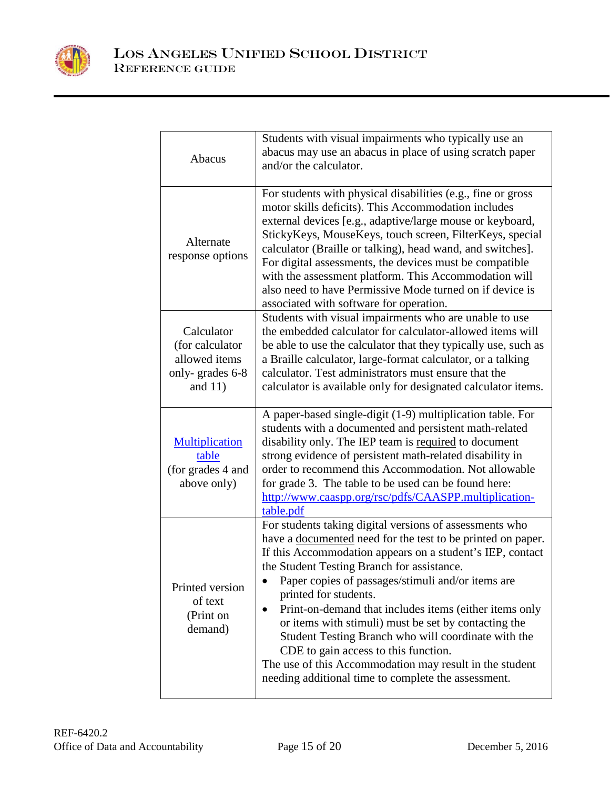

| Abacus                                                                         | Students with visual impairments who typically use an<br>abacus may use an abacus in place of using scratch paper<br>and/or the calculator.                                                                                                                                                                                                                                                                                                                                                                                                                                                                                                                            |
|--------------------------------------------------------------------------------|------------------------------------------------------------------------------------------------------------------------------------------------------------------------------------------------------------------------------------------------------------------------------------------------------------------------------------------------------------------------------------------------------------------------------------------------------------------------------------------------------------------------------------------------------------------------------------------------------------------------------------------------------------------------|
| Alternate<br>response options                                                  | For students with physical disabilities (e.g., fine or gross<br>motor skills deficits). This Accommodation includes<br>external devices [e.g., adaptive/large mouse or keyboard,<br>StickyKeys, MouseKeys, touch screen, FilterKeys, special<br>calculator (Braille or talking), head wand, and switches].<br>For digital assessments, the devices must be compatible<br>with the assessment platform. This Accommodation will<br>also need to have Permissive Mode turned on if device is<br>associated with software for operation.                                                                                                                                  |
| Calculator<br>(for calculator<br>allowed items<br>only-grades 6-8<br>and $11)$ | Students with visual impairments who are unable to use<br>the embedded calculator for calculator-allowed items will<br>be able to use the calculator that they typically use, such as<br>a Braille calculator, large-format calculator, or a talking<br>calculator. Test administrators must ensure that the<br>calculator is available only for designated calculator items.                                                                                                                                                                                                                                                                                          |
| <b>Multiplication</b><br>table<br>(for grades 4 and<br>above only)             | A paper-based single-digit (1-9) multiplication table. For<br>students with a documented and persistent math-related<br>disability only. The IEP team is required to document<br>strong evidence of persistent math-related disability in<br>order to recommend this Accommodation. Not allowable<br>for grade 3. The table to be used can be found here:<br>http://www.caaspp.org/rsc/pdfs/CAASPP.multiplication-<br>table.pdf                                                                                                                                                                                                                                        |
| Printed version<br>of text<br>(Print on<br>demand)                             | For students taking digital versions of assessments who<br>have a <u>documented</u> need for the test to be printed on paper.<br>If this Accommodation appears on a student's IEP, contact<br>the Student Testing Branch for assistance.<br>Paper copies of passages/stimuli and/or items are<br>printed for students.<br>Print-on-demand that includes items (either items only<br>$\bullet$<br>or items with stimuli) must be set by contacting the<br>Student Testing Branch who will coordinate with the<br>CDE to gain access to this function.<br>The use of this Accommodation may result in the student<br>needing additional time to complete the assessment. |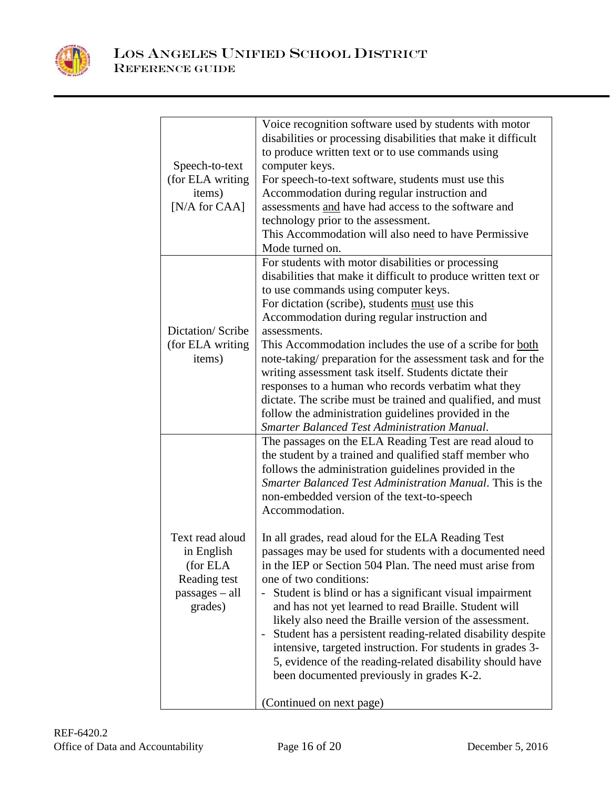

|                          | Voice recognition software used by students with motor                                                               |
|--------------------------|----------------------------------------------------------------------------------------------------------------------|
|                          | disabilities or processing disabilities that make it difficult                                                       |
|                          | to produce written text or to use commands using                                                                     |
| Speech-to-text           | computer keys.                                                                                                       |
| (for ELA writing         | For speech-to-text software, students must use this                                                                  |
| items)                   | Accommodation during regular instruction and                                                                         |
| [N/A for CAA]            | assessments and have had access to the software and                                                                  |
|                          | technology prior to the assessment.<br>This Accommodation will also need to have Permissive                          |
|                          | Mode turned on.                                                                                                      |
|                          |                                                                                                                      |
|                          | For students with motor disabilities or processing<br>disabilities that make it difficult to produce written text or |
|                          | to use commands using computer keys.                                                                                 |
|                          | For dictation (scribe), students must use this                                                                       |
|                          | Accommodation during regular instruction and                                                                         |
| Dictation/Scribe         | assessments.                                                                                                         |
| (for ELA writing)        | This Accommodation includes the use of a scribe for both                                                             |
| items)                   | note-taking/ preparation for the assessment task and for the                                                         |
|                          | writing assessment task itself. Students dictate their                                                               |
|                          | responses to a human who records verbatim what they                                                                  |
|                          | dictate. The scribe must be trained and qualified, and must                                                          |
|                          | follow the administration guidelines provided in the                                                                 |
|                          | Smarter Balanced Test Administration Manual.                                                                         |
|                          | The passages on the ELA Reading Test are read aloud to                                                               |
|                          | the student by a trained and qualified staff member who                                                              |
|                          | follows the administration guidelines provided in the                                                                |
|                          | Smarter Balanced Test Administration Manual. This is the                                                             |
|                          | non-embedded version of the text-to-speech                                                                           |
|                          | Accommodation.                                                                                                       |
|                          |                                                                                                                      |
| Text read aloud          | In all grades, read aloud for the ELA Reading Test                                                                   |
| in English               | passages may be used for students with a documented need<br>in the IEP or Section 504 Plan. The need must arise from |
| (for ELA<br>Reading test | one of two conditions:                                                                                               |
| $passages - all$         | Student is blind or has a significant visual impairment                                                              |
| grades)                  | and has not yet learned to read Braille. Student will                                                                |
|                          | likely also need the Braille version of the assessment.                                                              |
|                          | Student has a persistent reading-related disability despite                                                          |
|                          | intensive, targeted instruction. For students in grades 3-                                                           |
|                          | 5, evidence of the reading-related disability should have                                                            |
|                          | been documented previously in grades K-2.                                                                            |
|                          |                                                                                                                      |
|                          | (Continued on next page)                                                                                             |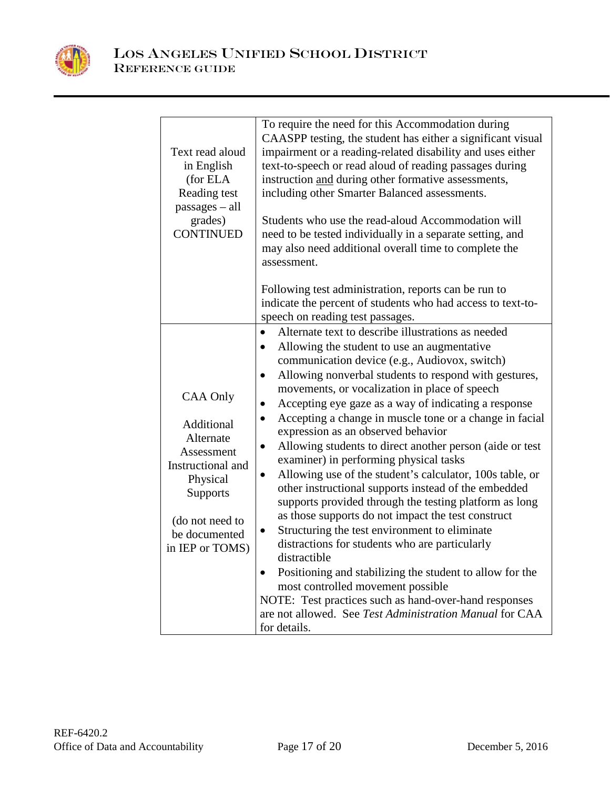

| Text read aloud<br>in English<br>(for ELA<br>Reading test<br>$passages - all$<br>grades)<br><b>CONTINUED</b>                                                 | To require the need for this Accommodation during<br>CAASPP testing, the student has either a significant visual<br>impairment or a reading-related disability and uses either<br>text-to-speech or read aloud of reading passages during<br>instruction and during other formative assessments,<br>including other Smarter Balanced assessments.<br>Students who use the read-aloud Accommodation will<br>need to be tested individually in a separate setting, and<br>may also need additional overall time to complete the<br>assessment.                                                                                                                                                                                                                                                                                                                                                                                                                                                                                                                                                                                                                                                                                                 |
|--------------------------------------------------------------------------------------------------------------------------------------------------------------|----------------------------------------------------------------------------------------------------------------------------------------------------------------------------------------------------------------------------------------------------------------------------------------------------------------------------------------------------------------------------------------------------------------------------------------------------------------------------------------------------------------------------------------------------------------------------------------------------------------------------------------------------------------------------------------------------------------------------------------------------------------------------------------------------------------------------------------------------------------------------------------------------------------------------------------------------------------------------------------------------------------------------------------------------------------------------------------------------------------------------------------------------------------------------------------------------------------------------------------------|
|                                                                                                                                                              | Following test administration, reports can be run to<br>indicate the percent of students who had access to text-to-<br>speech on reading test passages.                                                                                                                                                                                                                                                                                                                                                                                                                                                                                                                                                                                                                                                                                                                                                                                                                                                                                                                                                                                                                                                                                      |
| <b>CAA Only</b><br>Additional<br>Alternate<br>Assessment<br>Instructional and<br>Physical<br>Supports<br>(do not need to<br>be documented<br>in IEP or TOMS) | Alternate text to describe illustrations as needed<br>$\bullet$<br>Allowing the student to use an augmentative<br>$\bullet$<br>communication device (e.g., Audiovox, switch)<br>Allowing nonverbal students to respond with gestures,<br>$\bullet$<br>movements, or vocalization in place of speech<br>Accepting eye gaze as a way of indicating a response<br>$\bullet$<br>Accepting a change in muscle tone or a change in facial<br>$\bullet$<br>expression as an observed behavior<br>Allowing students to direct another person (aide or test<br>$\bullet$<br>examiner) in performing physical tasks<br>Allowing use of the student's calculator, 100s table, or<br>$\bullet$<br>other instructional supports instead of the embedded<br>supports provided through the testing platform as long<br>as those supports do not impact the test construct<br>Structuring the test environment to eliminate<br>$\bullet$<br>distractions for students who are particularly<br>distractible<br>Positioning and stabilizing the student to allow for the<br>$\bullet$<br>most controlled movement possible<br>NOTE: Test practices such as hand-over-hand responses<br>are not allowed. See Test Administration Manual for CAA<br>for details. |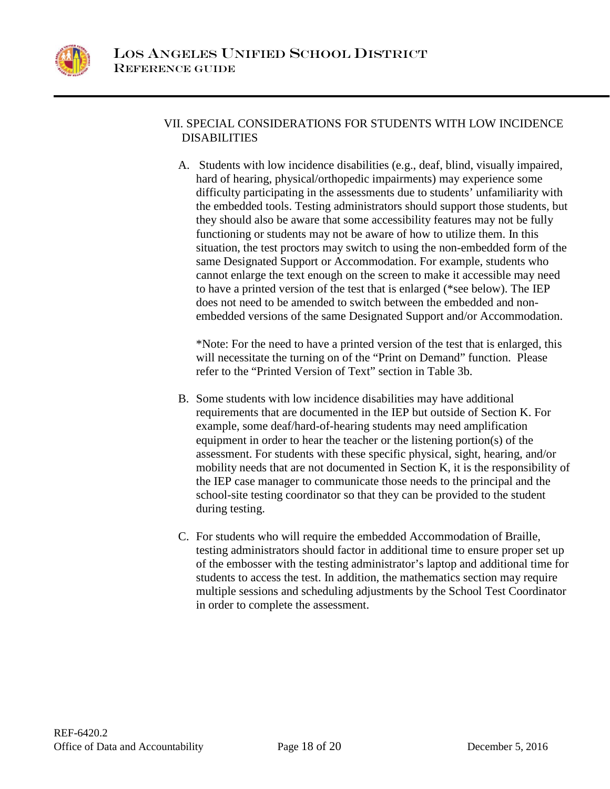

# VII. SPECIAL CONSIDERATIONS FOR STUDENTS WITH LOW INCIDENCE DISABILITIES

A. Students with low incidence disabilities (e.g., deaf, blind, visually impaired, hard of hearing, physical/orthopedic impairments) may experience some difficulty participating in the assessments due to students' unfamiliarity with the embedded tools. Testing administrators should support those students, but they should also be aware that some accessibility features may not be fully functioning or students may not be aware of how to utilize them. In this situation, the test proctors may switch to using the non-embedded form of the same Designated Support or Accommodation. For example, students who cannot enlarge the text enough on the screen to make it accessible may need to have a printed version of the test that is enlarged (\*see below). The IEP does not need to be amended to switch between the embedded and nonembedded versions of the same Designated Support and/or Accommodation.

\*Note: For the need to have a printed version of the test that is enlarged, this will necessitate the turning on of the "Print on Demand" function. Please refer to the "Printed Version of Text" section in Table 3b.

- B. Some students with low incidence disabilities may have additional requirements that are documented in the IEP but outside of Section K. For example, some deaf/hard-of-hearing students may need amplification equipment in order to hear the teacher or the listening portion(s) of the assessment. For students with these specific physical, sight, hearing, and/or mobility needs that are not documented in Section K, it is the responsibility of the IEP case manager to communicate those needs to the principal and the school-site testing coordinator so that they can be provided to the student during testing.
- C. For students who will require the embedded Accommodation of Braille, testing administrators should factor in additional time to ensure proper set up of the embosser with the testing administrator's laptop and additional time for students to access the test. In addition, the mathematics section may require multiple sessions and scheduling adjustments by the School Test Coordinator in order to complete the assessment.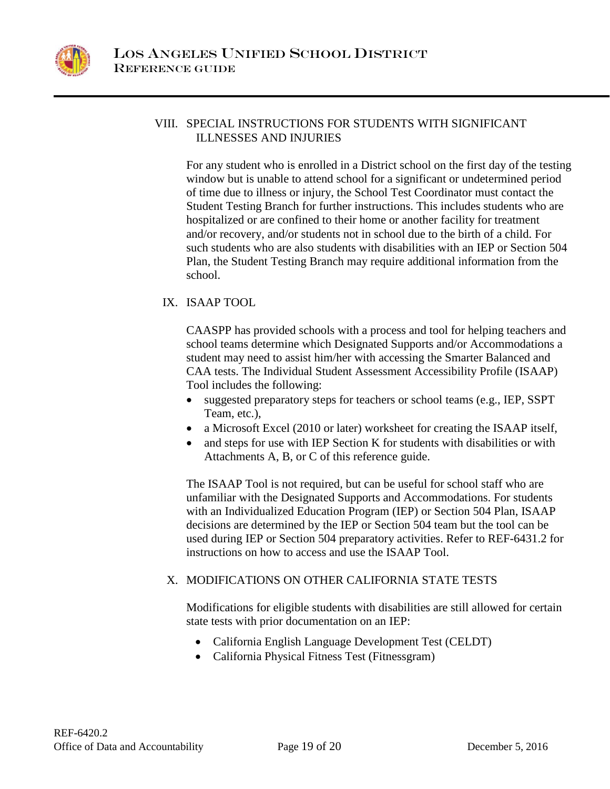

# VIII. SPECIAL INSTRUCTIONS FOR STUDENTS WITH SIGNIFICANT ILLNESSES AND INJURIES

For any student who is enrolled in a District school on the first day of the testing window but is unable to attend school for a significant or undetermined period of time due to illness or injury, the School Test Coordinator must contact the Student Testing Branch for further instructions. This includes students who are hospitalized or are confined to their home or another facility for treatment and/or recovery, and/or students not in school due to the birth of a child. For such students who are also students with disabilities with an IEP or Section 504 Plan, the Student Testing Branch may require additional information from the school.

# IX. ISAAP TOOL

CAASPP has provided schools with a process and tool for helping teachers and school teams determine which Designated Supports and/or Accommodations a student may need to assist him/her with accessing the Smarter Balanced and CAA tests. The Individual Student Assessment Accessibility Profile (ISAAP) Tool includes the following:

- suggested preparatory steps for teachers or school teams (e.g., IEP, SSPT) Team, etc.),
- a Microsoft Excel (2010 or later) worksheet for creating the ISAAP itself,
- and steps for use with IEP Section K for students with disabilities or with Attachments A, B, or C of this reference guide.

The ISAAP Tool is not required, but can be useful for school staff who are unfamiliar with the Designated Supports and Accommodations. For students with an Individualized Education Program (IEP) or Section 504 Plan, ISAAP decisions are determined by the IEP or Section 504 team but the tool can be used during IEP or Section 504 preparatory activities. Refer to REF-6431.2 for instructions on how to access and use the ISAAP Tool.

# X. MODIFICATIONS ON OTHER CALIFORNIA STATE TESTS

Modifications for eligible students with disabilities are still allowed for certain state tests with prior documentation on an IEP:

- California English Language Development Test (CELDT)
- California Physical Fitness Test (Fitnessgram)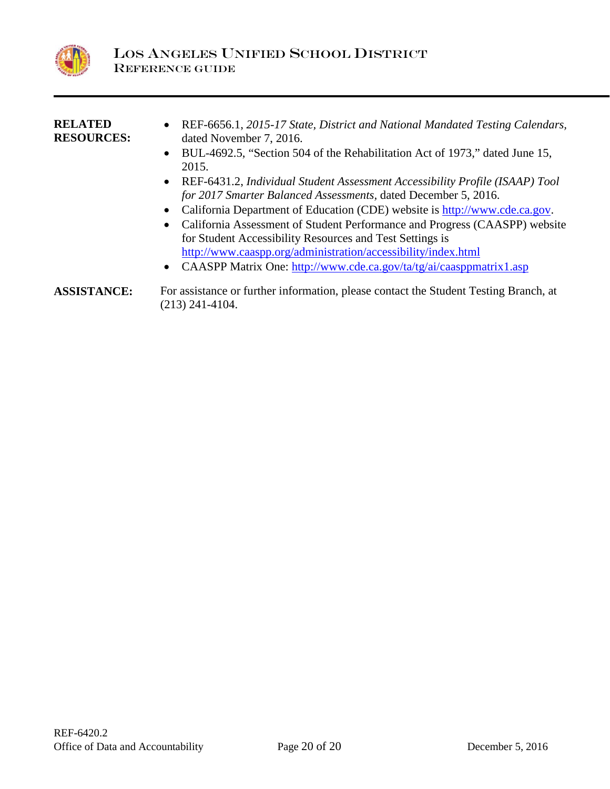

| <b>RELATED</b><br><b>RESOURCES:</b> | REF-6656.1, 2015-17 State, District and National Mandated Testing Calendars,<br>$\bullet$<br>dated November 7, 2016. |
|-------------------------------------|----------------------------------------------------------------------------------------------------------------------|
|                                     | BUL-4692.5, "Section 504 of the Rehabilitation Act of 1973," dated June 15,<br>$\bullet$                             |
|                                     | 2015.<br>REF-6431.2, Individual Student Assessment Accessibility Profile (ISAAP) Tool<br>$\bullet$                   |
|                                     | for 2017 Smarter Balanced Assessments, dated December 5, 2016.                                                       |
|                                     | California Department of Education (CDE) website is http://www.cde.ca.gov.<br>$\bullet$                              |
|                                     | California Assessment of Student Performance and Progress (CAASPP) website<br>$\bullet$                              |
|                                     | for Student Accessibility Resources and Test Settings is                                                             |
|                                     | http://www.caaspp.org/administration/accessibility/index.html                                                        |

- CAASPP Matrix One:<http://www.cde.ca.gov/ta/tg/ai/caasppmatrix1.asp>
- **ASSISTANCE:** For assistance or further information, please contact the Student Testing Branch, at (213) 241-4104.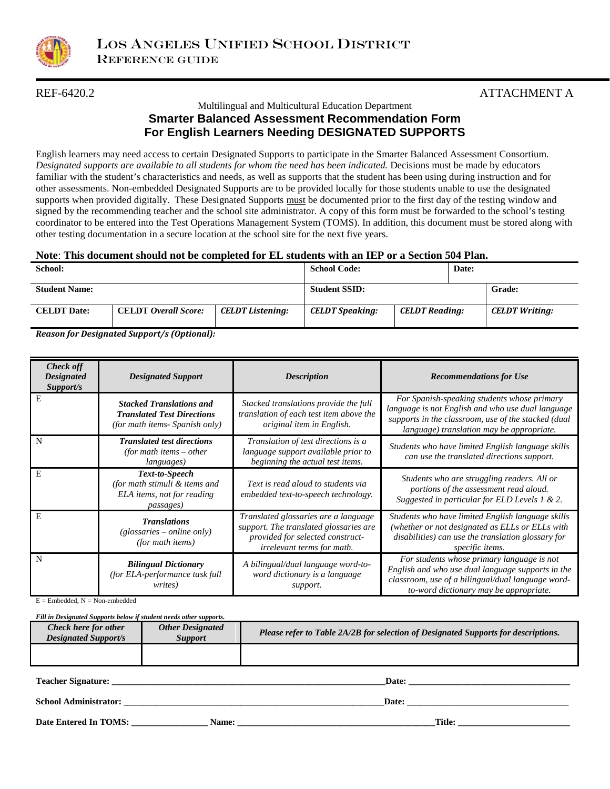

# REF-6420.2 ATTACHMENT A

### Multilingual and Multicultural Education Department **Smarter Balanced Assessment Recommendation Form For English Learners Needing DESIGNATED SUPPORTS**

English learners may need access to certain Designated Supports to participate in the Smarter Balanced Assessment Consortium. *Designated supports are available to all students for whom the need has been indicated.* Decisions must be made by educators familiar with the student's characteristics and needs, as well as supports that the student has been using during instruction and for other assessments. Non-embedded Designated Supports are to be provided locally for those students unable to use the designated supports when provided digitally. These Designated Supports must be documented prior to the first day of the testing window and signed by the recommending teacher and the school site administrator. A copy of this form must be forwarded to the school's testing coordinator to be entered into the Test Operations Management System (TOMS). In addition, this document must be stored along with other testing documentation in a secure location at the school site for the next five years.

### **Note**: **This document should not be completed for EL students with an IEP or a Section 504 Plan.**

| School:              |                             |                         | <b>School Code:</b>    |                       | Date: |                       |
|----------------------|-----------------------------|-------------------------|------------------------|-----------------------|-------|-----------------------|
| <b>Student Name:</b> |                             |                         | <b>Student SSID:</b>   |                       |       | Grade:                |
| <b>CELDT</b> Date:   | <b>CELDT</b> Overall Score: | <b>CELDT Listening:</b> | <b>CELDT Speaking:</b> | <b>CELDT Reading:</b> |       | <b>CELDT</b> Writing: |

*Reason for Designated Support/s (Optional):*

| <b>Check off</b><br><b>Designated</b><br>Support/s | <b>Designated Support</b>                                                                              | <b>Description</b>                                                                                                                               | <b>Recommendations for Use</b>                                                                                                                                                                       |
|----------------------------------------------------|--------------------------------------------------------------------------------------------------------|--------------------------------------------------------------------------------------------------------------------------------------------------|------------------------------------------------------------------------------------------------------------------------------------------------------------------------------------------------------|
| E                                                  | <b>Stacked Translations and</b><br><b>Translated Test Directions</b><br>(for math items- Spanish only) | Stacked translations provide the full<br>translation of each test item above the<br><i>original item in English.</i>                             | For Spanish-speaking students whose primary<br>language is not English and who use dual language<br>supports in the classroom, use of the stacked (dual<br>language) translation may be appropriate. |
| N                                                  | <b>Translated test directions</b><br>(for math items $-$ other<br>languages)                           | Translation of test directions is a<br>language support available prior to<br>beginning the actual test items.                                   | Students who have limited English language skills<br>can use the translated directions support.                                                                                                      |
| E                                                  | Text-to-Speech<br>(for math stimuli & items and<br>ELA items, not for reading<br><i>passages</i> )     | Text is read aloud to students via<br>embedded text-to-speech technology.                                                                        | Students who are struggling readers. All or<br>portions of the assessment read aloud.<br>Suggested in particular for ELD Levels 1 & 2.                                                               |
| E                                                  | <b>Translations</b><br>$(glossaries - online only)$<br>(for math items)                                | Translated glossaries are a language<br>support. The translated glossaries are<br>provided for selected construct-<br>irrelevant terms for math. | Students who have limited English language skills<br>(whether or not designated as ELLs or ELLs with<br>disabilities) can use the translation glossary for<br>specific items.                        |
| N                                                  | <b>Bilingual Dictionary</b><br>(for ELA-performance task full<br>writes)                               | A bilingual/dual language word-to-<br>word dictionary is a language<br>support.                                                                  | For students whose primary language is not<br>English and who use dual language supports in the<br>classroom, use of a bilingual/dual language word-<br>to-word dictionary may be appropriate.       |

 $E =$  Embedded,  $N =$  Non-embedded

*Fill in Designated Supports below if student needs other supports.*

| Check here for other<br><b>Designated Support/s</b> | <b>Other Designated</b><br><i>Support</i> | Please refer to Table 2A/2B for selection of Designated Supports for descriptions. |  |
|-----------------------------------------------------|-------------------------------------------|------------------------------------------------------------------------------------|--|
|                                                     |                                           |                                                                                    |  |
| <b>Teacher Signature:</b>                           |                                           | Date:                                                                              |  |
| <b>School Administrator:</b>                        |                                           | Date:                                                                              |  |

**Date Entered In TOMS: \_\_\_\_\_\_\_\_\_\_\_\_\_\_\_\_\_ Name: \_\_\_\_\_\_\_\_\_\_\_\_\_\_\_\_\_\_\_\_\_\_\_\_\_\_\_\_\_\_\_\_\_\_\_\_\_\_\_\_\_\_\_\_Title: \_\_\_\_\_\_\_\_\_\_\_\_\_\_\_\_\_\_\_\_\_\_\_\_\_**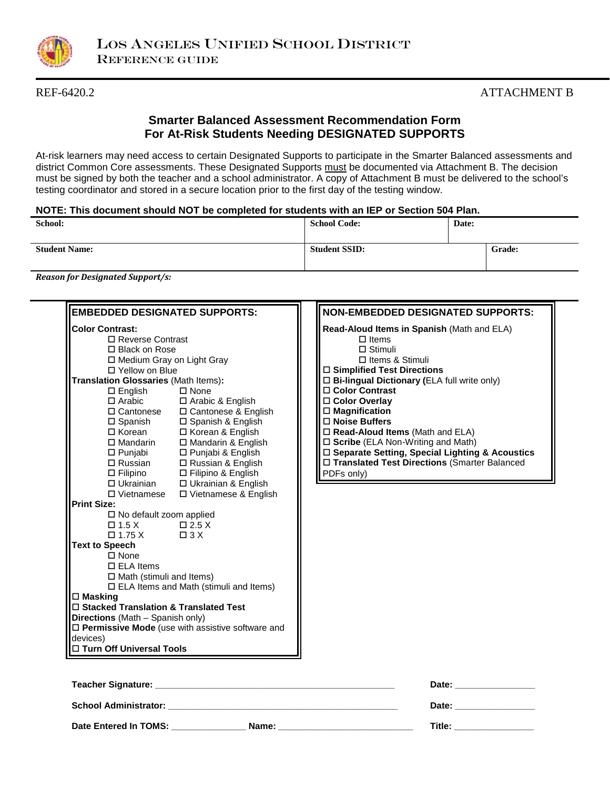

# REF-6420.2 ATTACHMENT B

# **Smarter Balanced Assessment Recommendation Form For At-Risk Students Needing DESIGNATED SUPPORTS**

At-risk learners may need access to certain Designated Supports to participate in the Smarter Balanced assessments and district Common Core assessments. These Designated Supports must be documented via Attachment B. The decision must be signed by both the teacher and a school administrator. A copy of Attachment B must be delivered to the school's testing coordinator and stored in a secure location prior to the first day of the testing window.

### **NOTE: This document should NOT be completed for students with an IEP or Section 504 Plan.**

| School:              | <b>School Code:</b>  | Date: |        |
|----------------------|----------------------|-------|--------|
| <b>Student Name:</b> | <b>Student SSID:</b> |       | Grade: |

*Reason for Designated Support/s:*

| <b>EMBEDDED DESIGNATED SUPPORTS:</b>                                                                                                                                                                                                                                                                                                                                                                                                                                                                                                                                                           |                                                                                         | <b>NON-EMBEDDED DESIGNATED SUPPORTS:</b>                                                                                                                                                                                                                                                                                                                                                                                                                                                  |
|------------------------------------------------------------------------------------------------------------------------------------------------------------------------------------------------------------------------------------------------------------------------------------------------------------------------------------------------------------------------------------------------------------------------------------------------------------------------------------------------------------------------------------------------------------------------------------------------|-----------------------------------------------------------------------------------------|-------------------------------------------------------------------------------------------------------------------------------------------------------------------------------------------------------------------------------------------------------------------------------------------------------------------------------------------------------------------------------------------------------------------------------------------------------------------------------------------|
| <b>Color Contrast:</b><br>□ Reverse Contrast<br>□ Black on Rose<br>□ Medium Gray on Light Gray<br>□ Yellow on Blue<br>Translation Glossaries (Math Items):<br><b>Print Size:</b><br>$\square$ No default zoom applied<br>$\Box$ 1.5 X $\Box$ 2.5 X<br>$\Box 1.75 X \qquad \Box 3 X$<br><b>Text to Speech</b><br>$\square$ None<br>$\Box$ ELA Items<br>$\Box$ Math (stimuli and Items)<br>$\Box$ Masking<br>□ Stacked Translation & Translated Test<br>Directions (Math - Spanish only)<br>$\square$ Permissive Mode (use with assistive software and<br>devices)<br>□ Turn Off Universal Tools | □ Vietnamese □ Vietnamese & English<br>$\square$ ELA Items and Math (stimuli and Items) | Read-Aloud Items in Spanish (Math and ELA)<br>$\Box$ Items<br>$\Box$ Stimuli<br>□ Items & Stimuli<br>$\Box$ Simplified Test Directions<br>$\Box$ Bi-lingual Dictionary (ELA full write only)<br>□ Color Contrast<br>□ Color Overlay<br>$\square$ Magnification<br>□ Noise Buffers<br>$\square$ Read-Aloud Items (Math and ELA)<br>□ Scribe (ELA Non-Writing and Math)<br>□ Separate Setting, Special Lighting & Acoustics<br>□ Translated Test Directions (Smarter Balanced<br>PDFs only) |
|                                                                                                                                                                                                                                                                                                                                                                                                                                                                                                                                                                                                |                                                                                         | Date: <b>Date:</b>                                                                                                                                                                                                                                                                                                                                                                                                                                                                        |
|                                                                                                                                                                                                                                                                                                                                                                                                                                                                                                                                                                                                |                                                                                         | Date: _______________                                                                                                                                                                                                                                                                                                                                                                                                                                                                     |

**Date Entered In TOMS: \_\_\_\_\_\_\_\_\_\_\_\_\_\_\_ Name: \_\_\_\_\_\_\_\_\_\_\_\_\_\_\_\_\_\_\_\_\_\_\_\_\_\_\_ Title: \_\_\_\_\_\_\_\_\_\_\_\_\_\_\_\_**

| )ate: |  |  |  |
|-------|--|--|--|
|       |  |  |  |
| -- -  |  |  |  |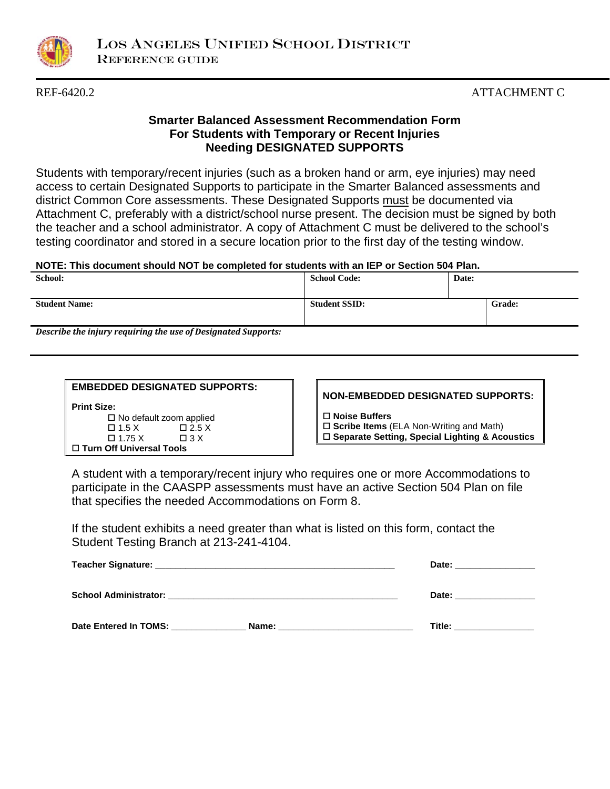

# REF-6420.2 ATTACHMENT C

# **Smarter Balanced Assessment Recommendation Form For Students with Temporary or Recent Injuries Needing DESIGNATED SUPPORTS**

Students with temporary/recent injuries (such as a broken hand or arm, eye injuries) may need access to certain Designated Supports to participate in the Smarter Balanced assessments and district Common Core assessments. These Designated Supports must be documented via Attachment C, preferably with a district/school nurse present. The decision must be signed by both the teacher and a school administrator. A copy of Attachment C must be delivered to the school's testing coordinator and stored in a secure location prior to the first day of the testing window.

### **NOTE: This document should NOT be completed for students with an IEP or Section 504 Plan.**

| School:                                                                                                                                                                                                                       | <b>School Code:</b>  | Date:  |  |
|-------------------------------------------------------------------------------------------------------------------------------------------------------------------------------------------------------------------------------|----------------------|--------|--|
| <b>Student Name:</b>                                                                                                                                                                                                          | <b>Student SSID:</b> | Grade: |  |
| Described to the function of the second of the state of Description of the Company of the U.S. of the U.S. of the U.S. of the U.S. of the U.S. of the U.S. of the U.S. of the U.S. of the U.S. of the U.S. of the U.S. of the |                      |        |  |

*Describe the injury requiring the use of Designated Supports:*

| <b>EMBEDDED DESIGNATED SUPPORTS:</b> |              |  |
|--------------------------------------|--------------|--|
| <b>Print Size:</b>                   |              |  |
| $\Box$ No default zoom applied       |              |  |
| $\Box$ 1.5 X                         | $\Box$ 2.5 X |  |

 $\Box 1.75 \times \Box 3 \times$ 

**Turn Off Universal Tools** 

**NON-EMBEDDED DESIGNATED SUPPORTS:**

**Noise Buffers**

**Scribe Items** (ELA Non-Writing and Math)

**Separate Setting, Special Lighting & Acoustics**

A student with a temporary/recent injury who requires one or more Accommodations to participate in the CAASPP assessments must have an active Section 504 Plan on file that specifies the needed Accommodations on Form 8.

If the student exhibits a need greater than what is listed on this form, contact the Student Testing Branch at 213-241-4104.

|                                  |                                                                                                                                                                                                                                | Date: _________________ |
|----------------------------------|--------------------------------------------------------------------------------------------------------------------------------------------------------------------------------------------------------------------------------|-------------------------|
|                                  |                                                                                                                                                                                                                                | Date:                   |
| Date Entered In TOMS: __________ | Name: Name and the state of the state of the state of the state of the state of the state of the state of the state of the state of the state of the state of the state of the state of the state of the state of the state of | Title: _______________  |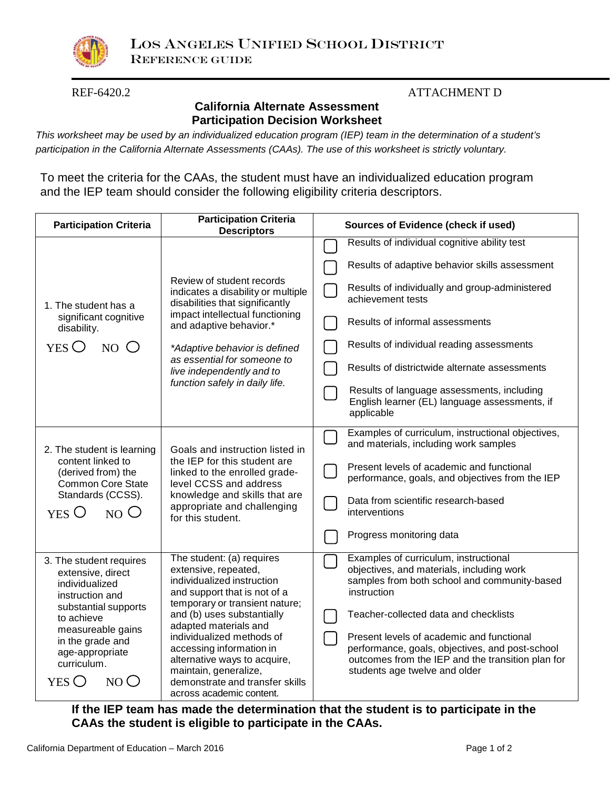

# REF-6420.2 ATTACHMENT D

# **California Alternate Assessment Participation Decision Worksheet**

*This worksheet may be used by an individualized education program (IEP) team in the determination of a student's participation in the California Alternate Assessments (CAAs). The use of this worksheet is strictly voluntary.*

To meet the criteria for the CAAs, the student must have an individualized education program and the IEP team should consider the following eligibility criteria descriptors.

| <b>Participation Criteria</b>                                                                                                                      | <b>Participation Criteria</b><br><b>Descriptors</b>                                                                                                                                                                                                                                             | <b>Sources of Evidence (check if used)</b>                                                                                                                                         |  |
|----------------------------------------------------------------------------------------------------------------------------------------------------|-------------------------------------------------------------------------------------------------------------------------------------------------------------------------------------------------------------------------------------------------------------------------------------------------|------------------------------------------------------------------------------------------------------------------------------------------------------------------------------------|--|
| 1. The student has a<br>significant cognitive<br>disability.<br>NO <sub>O</sub><br>YES                                                             |                                                                                                                                                                                                                                                                                                 | Results of individual cognitive ability test<br>Results of adaptive behavior skills assessment                                                                                     |  |
|                                                                                                                                                    | Review of student records<br>indicates a disability or multiple<br>disabilities that significantly<br>impact intellectual functioning<br>and adaptive behavior.*<br>*Adaptive behavior is defined<br>as essential for someone to<br>live independently and to<br>function safely in daily life. | Results of individually and group-administered<br>achievement tests                                                                                                                |  |
|                                                                                                                                                    |                                                                                                                                                                                                                                                                                                 | Results of informal assessments                                                                                                                                                    |  |
|                                                                                                                                                    |                                                                                                                                                                                                                                                                                                 | Results of individual reading assessments                                                                                                                                          |  |
|                                                                                                                                                    |                                                                                                                                                                                                                                                                                                 | Results of districtwide alternate assessments                                                                                                                                      |  |
|                                                                                                                                                    |                                                                                                                                                                                                                                                                                                 | Results of language assessments, including<br>English learner (EL) language assessments, if<br>applicable                                                                          |  |
| 2. The student is learning<br>content linked to<br>(derived from) the<br><b>Common Core State</b><br>Standards (CCSS).<br>YES O<br>NO <sub>0</sub> | Goals and instruction listed in<br>the IEP for this student are<br>linked to the enrolled grade-<br>level CCSS and address<br>knowledge and skills that are<br>appropriate and challenging<br>for this student.                                                                                 | Examples of curriculum, instructional objectives,<br>and materials, including work samples                                                                                         |  |
|                                                                                                                                                    |                                                                                                                                                                                                                                                                                                 | Present levels of academic and functional<br>performance, goals, and objectives from the IEP                                                                                       |  |
|                                                                                                                                                    |                                                                                                                                                                                                                                                                                                 | Data from scientific research-based<br>interventions                                                                                                                               |  |
|                                                                                                                                                    |                                                                                                                                                                                                                                                                                                 | Progress monitoring data                                                                                                                                                           |  |
| 3. The student requires<br>extensive, direct<br>individualized<br>instruction and                                                                  | The student: (a) requires<br>extensive, repeated,<br>individualized instruction<br>and support that is not of a<br>temporary or transient nature;                                                                                                                                               | Examples of curriculum, instructional<br>objectives, and materials, including work<br>samples from both school and community-based<br>instruction                                  |  |
| substantial supports<br>to achieve                                                                                                                 | and (b) uses substantially<br>adapted materials and<br>individualized methods of<br>accessing information in<br>alternative ways to acquire,<br>maintain, generalize,<br>demonstrate and transfer skills<br>across academic content.                                                            | Teacher-collected data and checklists                                                                                                                                              |  |
| measureable gains<br>in the grade and<br>age-appropriate<br>curriculum.<br>YES O<br>NO <sub>o</sub>                                                |                                                                                                                                                                                                                                                                                                 | Present levels of academic and functional<br>performance, goals, objectives, and post-school<br>outcomes from the IEP and the transition plan for<br>students age twelve and older |  |

**If the IEP team has made the determination that the student is to participate in the CAAs the student is eligible to participate in the CAAs.**